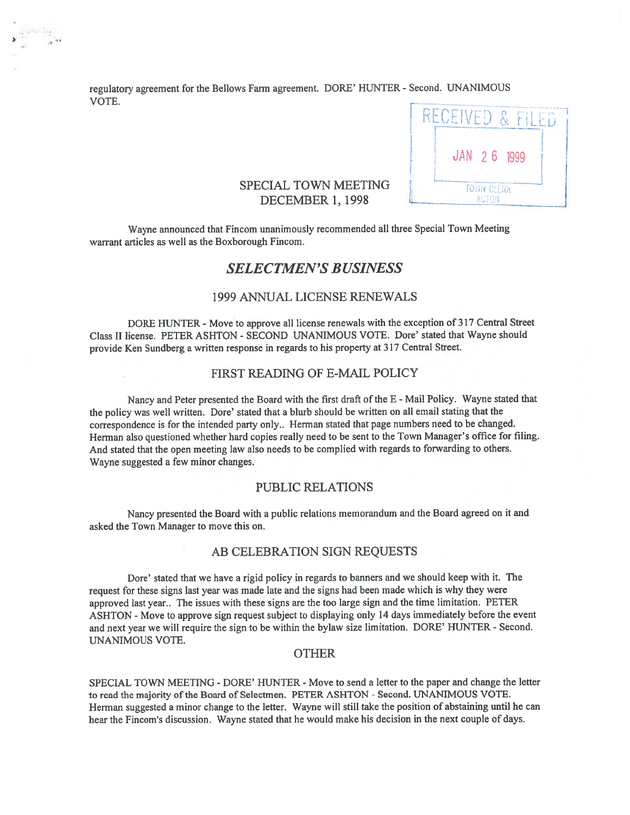regulatory agreemen<sup>t</sup> for the Bellows Farm agreement. DORE' HUNTER - Second. UNANIMOUS VOTE.

) '



### SPECIAL TOWN MEETING DECEMBER 1, 1998

Wayne announced that Fincom unanimously recommended all three Special Town Meeting warrant articles as well as the Boxborough Fincom.

# SELECTMEN'S BUSINESS

### 1999 ANNUAL LICENSE RENEWALS

DORE HUNTER - Move to approve all license renewals with the exception of 317 Central Street Class II license. PETER ASHION - SECOND UNANIMOUS VOTE. Dore' stated that Wayne should provide Ken Sundberg <sup>a</sup> written response in regards to his property at <sup>317</sup> Central Street.

### FIRST READING OF E-MAIL POLICY

Nancy and Peter presented the Board with the first draft of the E - Mail Policy. Wayne stated that the policy was well written. Dore' stated that <sup>a</sup> blurb should be written on all email stating that the correspondence is for the intended party only.. Herman stated that page numbers need to be changed. Herman also questioned whether hard copies really need to be sent to the Town Manager's office for filing. And stated that the open meeting law also needs to be complied with regards to forwarding to others. Wayne suggested <sup>a</sup> few minor changes.

#### PUBLIC RELATIONS

Nancy presented the Board with <sup>a</sup> public relations memorandum and the Board agree<sup>d</sup> on it and asked the Town Manager to move this on.

#### AB CELEBRATION SIGN REQUESTS

Dore' stated that we have <sup>a</sup> rigid policy in regards to banners and we should keep with it. The reques<sup>t</sup> for these signs last year was made late and the signs had been made which is why they were approve<sup>d</sup> last year.. The issues with these signs are the too large sign and the time limitation. PETER ASHTON - Move to approve sign request subject to displaying only 14 days immediately before the event and next year we will require the sign to be within the bylaw size limitation. DORE' HUNTER - Second. UNANIMOUS VOTE.

#### **OTHER**

SPECIAL TOWN MEETING - DORE' HUNTER - Move to send a letter to the paper and change the letter to read the majority of the Board of Selectmen. PETER ASHTON - Second. UNANIMOUS VOTE. Herman suggested <sup>a</sup> minor change to the letter. Wayne will still take the position of abstaining until he can hear the Fincom's discussion. Wayne stated that he would make his decision in the next couple of days.